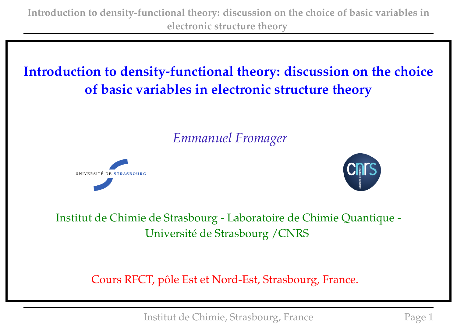# **Introduction to density-functional theory: discussion on the choice of basic variables in electronic structure theory**

# *Emmanuel Fromager*





Institut de Chimie de Strasbourg - Laboratoire de Chimie Quantique - Université de Strasbourg /CNRS

Cours RFCT, pôle Est et Nord-Est, Strasbourg, France.

Institut de Chimie, Strasbourg, France Page 1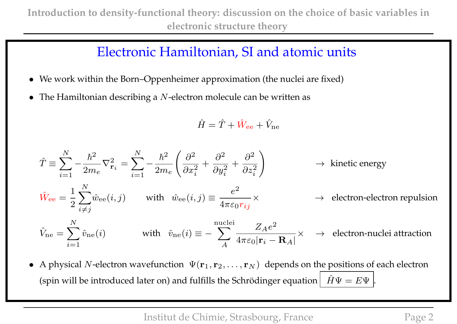### Electronic Hamiltonian, SI and atomic units

- We work within the Born–Oppenheimer approximation (the nuclei are fixed)
- The Hamiltonian describing a  $N$ -electron molecule can be written as

$$
\hat{H} = \hat{T} + \hat{W}_{\rm ee} + \hat{V}_{\rm ne}
$$

$$
\hat{T} \equiv \sum_{i=1}^{N} -\frac{\hbar^2}{2m_e} \nabla_{\mathbf{r}_i}^2 = \sum_{i=1}^{N} -\frac{\hbar^2}{2m_e} \left( \frac{\partial^2}{\partial x_i^2} + \frac{\partial^2}{\partial y_i^2} + \frac{\partial^2}{\partial z_i^2} \right) \rightarrow \text{ kinetic energy}
$$
\n
$$
\hat{W}_{\text{ee}} = \frac{1}{2} \sum_{i \neq j}^{N} \hat{w}_{\text{ee}}(i, j) \quad \text{with} \quad \hat{w}_{\text{ee}}(i, j) \equiv \frac{e^2}{4\pi\varepsilon_0 r_{ij}} \times \rightarrow \text{ electron-electron repulsion}
$$
\n
$$
\hat{V}_{\text{ne}} = \sum_{i=1}^{N} \hat{v}_{\text{ne}}(i) \qquad \text{with} \quad \hat{v}_{\text{ne}}(i) \equiv -\sum_{A}^{\text{nuclei}} \frac{Z_A e^2}{4\pi\varepsilon_0 |\mathbf{r}_i - \mathbf{R}_A|} \times \rightarrow \text{ electron-nuclei attraction}
$$

• A physical N-electron wavefunction  $\Psi(\mathbf{r}_1, \mathbf{r}_2, \dots, \mathbf{r}_N)$  depends on the positions of each electron (spin will be introduced later on) and fulfills the Schrödinger equation  $\hat{H}\Psi = E\Psi$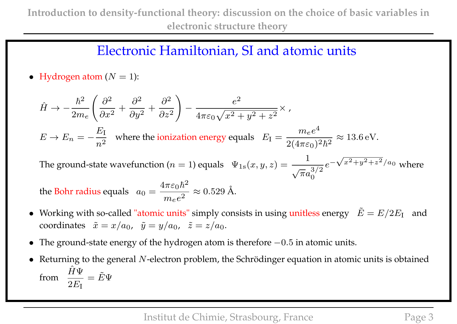### Electronic Hamiltonian, SI and atomic units

• Hydrogen atom  $(N = 1)$ :

$$
\hat{H} \rightarrow -\frac{\hbar^2}{2m_e} \left( \frac{\partial^2}{\partial x^2} + \frac{\partial^2}{\partial y^2} + \frac{\partial^2}{\partial z^2} \right) - \frac{e^2}{4\pi\varepsilon_0\sqrt{x^2 + y^2 + z^2}} \times ,
$$
\n
$$
E \rightarrow E_n = -\frac{E_1}{n^2} \text{ where the ionization energy equals } E_I = \frac{m_e e^4}{2(4\pi\varepsilon_0)^2 \hbar^2} \approx 13.6 \,\text{eV}.
$$
\nThe ground-state wavefunction  $(n = 1)$  equals  $\Psi_{1s}(x, y, z) = \frac{1}{\sqrt{\pi}a_0^{3/2}} e^{-\sqrt{x^2 + y^2 + z^2}/a_0}$  where the Bohr radius equals  $a_0 = \frac{4\pi\varepsilon_0 \hbar^2}{m_e e^2} \approx 0.529 \,\text{\AA}.$ 

- Working with so-called "atomic units" simply consists in using unitless energy  $\tilde{E} = E/2E_I$  and coordinates  $\tilde{x} = x/a_0$ ,  $\tilde{y} = y/a_0$ ,  $\tilde{z} = z/a_0$ .
- The ground-state energy of the hydrogen atom is therefore −0.5 in atomic units.
- Returning to the general  $N$ -electron problem, the Schrödinger equation in atomic units is obtained from  $\frac{\hat{H}\Psi}{2\pi}$  $2E_{\rm I}$  $= \tilde{E}\Psi$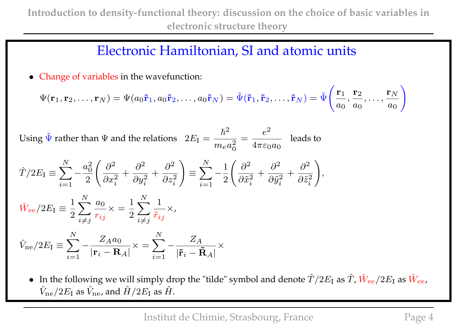#### Electronic Hamiltonian, SI and atomic units

• Change of variables in the wavefunction:

$$
\Psi(\mathbf{r}_1,\mathbf{r}_2,\ldots,\mathbf{r}_N)=\Psi(a_0\tilde{\mathbf{r}}_1,a_0\tilde{\mathbf{r}}_2,\ldots,a_0\tilde{\mathbf{r}}_N)=\tilde{\Psi}(\tilde{\mathbf{r}}_1,\tilde{\mathbf{r}}_2,\ldots,\tilde{\mathbf{r}}_N)=\tilde{\Psi}\Bigg(\frac{\mathbf{r}_1}{a_0},\frac{\mathbf{r}_2}{a_0},\ldots,\frac{\mathbf{r}_N}{a_0}\Bigg)
$$

Using  $\tilde{\Psi}$  rather than  $\Psi$  and the relations  $2E_I =$  $\hbar^2$  $m_e a_0^2$ 0 =  $e^2$  $4\pi\varepsilon_0a_0$ leads to

$$
\hat{T}/2E_{\rm I} \equiv \sum_{i=1}^{N} -\frac{a_0^2}{2} \left( \frac{\partial^2}{\partial x_i^2} + \frac{\partial^2}{\partial y_i^2} + \frac{\partial^2}{\partial z_i^2} \right) \equiv \sum_{i=1}^{N} -\frac{1}{2} \left( \frac{\partial^2}{\partial \tilde{x}_i^2} + \frac{\partial^2}{\partial \tilde{y}_i^2} + \frac{\partial^2}{\partial \tilde{z}_i^2} \right),
$$
\n
$$
\hat{W}_{\rm ee}/2E_{\rm I} \equiv \frac{1}{2} \sum_{i \neq j}^{N} \frac{a_0}{r_{ij}} \times \frac{1}{2} \sum_{i \neq j}^{N} \frac{1}{\tilde{r}_{ij}} \times,
$$

$$
\hat{V}_{\mathrm{ne}}/2E_{\mathrm{I}}\equiv\sum_{i=1}^{N}-\frac{Z_{A}a_{0}}{\left|\mathbf{r}_{i}-\mathbf{R}_{A}\right|}\times=\sum_{i=1}^{N}-\frac{Z_{A}}{\left|\mathbf{\tilde{r}}_{i}-\mathbf{\tilde{R}}_{A}\right|}\times
$$

• In the following we will simply drop the "tilde" symbol and denote  $\hat T/2E_{\rm I}$  as  $\hat T$ ,  $\hat W_{\rm ee}/2E_{\rm I}$  as  $\hat W_{\rm ee}$ ,  $\hat{V}_{\rm ne}/2E_{\rm I}$  as  $\hat{V}_{\rm ne}$ , and  $\hat{H}/2E_{\rm I}$  as  $\hat{H}$ .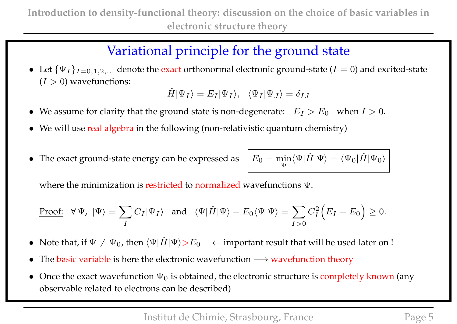# Variational principle for the ground state

• Let  $\{\Psi_I\}_{I=0,1,2,...}$  denote the exact orthonormal electronic ground-state ( $I=0$ ) and excited-state  $(I > 0)$  wavefunctions:

$$
\hat{H}|\Psi_I\rangle = E_I|\Psi_I\rangle, \quad \langle \Psi_I|\Psi_J\rangle = \delta_{IJ}
$$

- We assume for clarity that the ground state is non-degenerate:  $E_I > E_0$  when  $I > 0$ .
- We will use real algebra in the following (non-relativistic quantum chemistry)
- The exact ground-state energy can be expressed as

Ψ  $\langle \Psi | \hat{H} | \Psi \rangle = \langle \Psi_0 | \hat{H} | \Psi_0 \rangle$ 

where the minimization is restricted to normalized wavefunctions Ψ.

Proof: 
$$
\forall \Psi, |\Psi\rangle = \sum_{I} C_{I} |\Psi_{I}\rangle
$$
 and  $\langle \Psi | \hat{H} | \Psi \rangle - E_{0} \langle \Psi | \Psi \rangle = \sum_{I>0} C_{I}^{2} (E_{I} - E_{0}) \ge 0$ .

- Note that, if  $\Psi \neq \Psi_0$ , then  $\langle \Psi | \hat{H} | \Psi \rangle > E_0 \quad \leftarrow$  important result that will be used later on !
- The basic variable is here the electronic wavefunction  $→$  wavefunction theory
- Once the exact wavefunction  $\Psi_0$  is obtained, the electronic structure is completely known (any observable related to electrons can be described)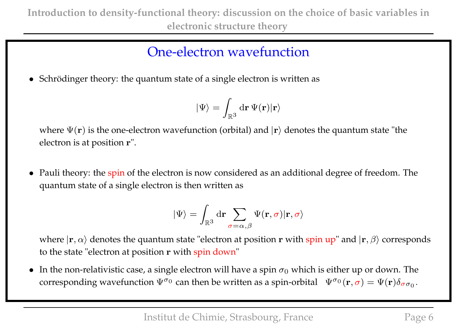# One-electron wavefunction

• Schrödinger theory: the quantum state of a single electron is written as

$$
|\Psi\rangle=\int_{\mathbb{R}^3} \mathrm{d}\mathbf{r}\,\Psi(\mathbf{r})|\mathbf{r}\rangle
$$

where  $\Psi(\mathbf{r})$  is the one-electron wavefunction (orbital) and  $|\mathbf{r}\rangle$  denotes the quantum state "the electron is at position r".

• Pauli theory: the spin of the electron is now considered as an additional degree of freedom. The quantum state of a single electron is then written as

$$
|\Psi\rangle = \int_{\mathbb{R}^3} \mathrm{d}\mathbf{r} \sum_{\sigma=\alpha,\beta} \Psi(\mathbf{r},\sigma) |\mathbf{r},\sigma\rangle
$$

where  $|\mathbf{r}, \alpha\rangle$  denotes the quantum state "electron at position r with spin up" and  $|\mathbf{r}, \beta\rangle$  corresponds to the state "electron at position r with spin down"

• In the non-relativistic case, a single electron will have a spin  $\sigma_0$  which is either up or down. The corresponding wavefunction  $\Psi^{\sigma_0}$  can then be written as a spin-orbital  $\Psi^{\sigma_0}(\mathbf{r},\sigma) = \Psi(\mathbf{r})\delta_{\sigma\sigma_0}$ .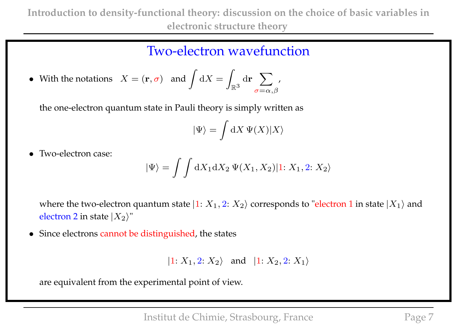**Introduction to density-functional theory: discussion on the choice of basic variables in electronic structure theory**

#### Two-electron wavefunction

• With the notations  $X = (\mathbf{r}, \sigma)$  and  $\int dX =$ Z  $\mathbb{R}^3$  $\mathrm{d}\mathbf{r}$   $\sum$  $\sigma{=}\alpha$  ,  $\beta$ ,

the one-electron quantum state in Pauli theory is simply written as

$$
|\Psi\rangle = \int \mathrm{d} X \, \Psi(X) |X\rangle
$$

• Two-electron case:

$$
|\Psi\rangle = \int \int dX_1 dX_2 \, \Psi(X_1, X_2)|1: X_1, 2: X_2\rangle
$$

where the two-electron quantum state  $|1: X_1, 2: X_2\rangle$  corresponds to "electron 1 in state  $|X_1\rangle$  and electron 2 in state  $|X_2\rangle$ "

• Since electrons cannot be distinguished, the states

 $|1: X_1, 2: X_2\rangle$  and  $|1: X_2, 2: X_1\rangle$ 

are equivalent from the experimental point of view.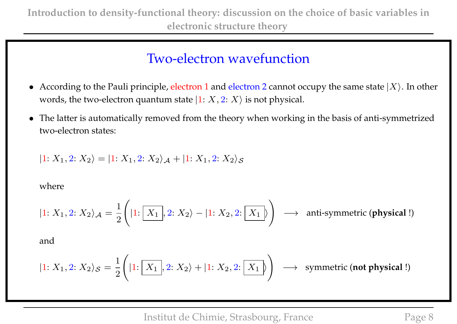### Two-electron wavefunction

- According to the Pauli principle, electron 1 and electron 2 cannot occupy the same state  $|X\rangle$ . In other words, the two-electron quantum state  $|1: X, 2: X\rangle$  is not physical.
- The latter is automatically removed from the theory when working in the basis of anti-symmetrized two-electron states:

$$
|1: X_1, 2: X_2\rangle = |1: X_1, 2: X_2\rangle_{\mathcal{A}} + |1: X_1, 2: X_2\rangle_{\mathcal{S}}
$$

where

$$
|1: X_1, 2: X_2 \rangle_{\mathcal{A}} = \frac{1}{2} \Bigg( |1: \boxed{X_1}, 2: X_2 \rangle - |1: X_2, 2: \boxed{X_1} \Bigg) \longrightarrow \text{ anti-symmetric (physical!)}
$$

and

$$
|1: X_1, 2: X_2\rangle_{\mathcal{S}} = \frac{1}{2} \Bigg( |1: \boxed{X_1}, 2: X_2\rangle + |1: X_2, 2: \boxed{X_1} \Bigg) \longrightarrow \text{ symmetric (not physical!)}
$$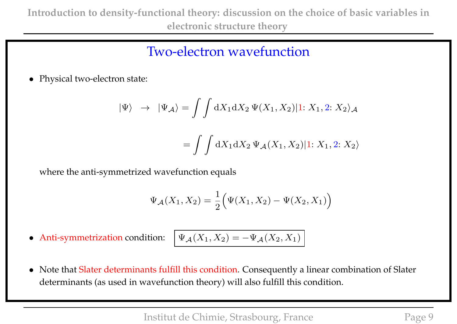### Two-electron wavefunction

• Physical two-electron state:

$$
|\Psi\rangle \rightarrow |\Psi_A\rangle = \iint dX_1 dX_2 \Psi(X_1, X_2)|1: X_1, 2: X_2\rangle_{\mathcal{A}}
$$

$$
= \iint dX_1 dX_2 \Psi_{\mathcal{A}}(X_1, X_2)|1: X_1, 2: X_2\rangle
$$

where the anti-symmetrized wavefunction equals

$$
\Psi_{\mathcal{A}}(X_1, X_2) = \frac{1}{2} (\Psi(X_1, X_2) - \Psi(X_2, X_1))
$$

• Anti-symmetrization condition:

$$
\Psi_{\mathcal{A}}(X_1, X_2) = -\Psi_{\mathcal{A}}(X_2, X_1)
$$

• Note that Slater determinants fulfill this condition. Consequently a linear combination of Slater determinants (as used in wavefunction theory) will also fulfill this condition.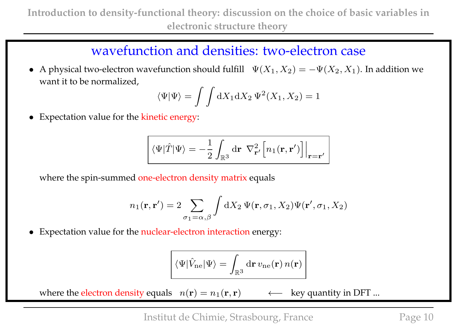#### wavefunction and densities: two-electron case

• A physical two-electron wavefunction should fulfill  $\Psi(X_1, X_2) = -\Psi(X_2, X_1)$ . In addition we want it to be normalized,

$$
\langle \Psi | \Psi \rangle = \int \int dX_1 dX_2 \, \Psi^2(X_1, X_2) = 1
$$

• Expectation value for the kinetic energy:

$$
\left[ \langle \Psi | \hat{T} | \Psi \rangle = -\frac{1}{2} \int_{\mathbb{R}^3} d\mathbf{r} \left[ \nabla_{\mathbf{r}'}^2 \left[ n_1(\mathbf{r}, \mathbf{r}') \right] \right]_{\mathbf{r} = \mathbf{r}'}
$$

where the spin-summed one-electron density matrix equals

$$
n_1(\mathbf{r}, \mathbf{r}') = 2 \sum_{\sigma_1 = \alpha, \beta} \int dX_2 \, \Psi(\mathbf{r}, \sigma_1, X_2) \Psi(\mathbf{r}', \sigma_1, X_2)
$$

• Expectation value for the nuclear-electron interaction energy:

$$
\langle\Psi| \hat{V}_{\rm ne} |\Psi\rangle = \int_{\mathbb{R}^3} {\rm d}{\bf r}\, v_{\rm ne}({\bf r})\, n({\bf r})
$$

where the electron density equals  $n(\mathbf{r}) = n_1(\mathbf{r}, \mathbf{r}) \rightarrow \mathbb{R}$  key quantity in DFT ...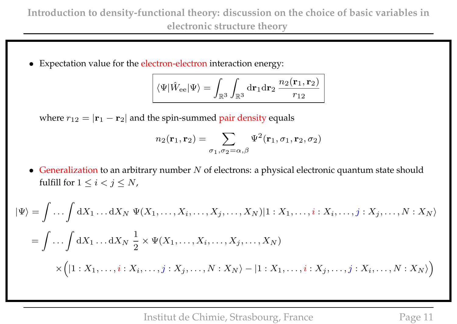• Expectation value for the electron-electron interaction energy:

$$
\left|\, \langle \Psi|\hat{W}_{\rm ee}|\Psi\rangle = \int_{\mathbb{R}^3}\int_{\mathbb{R}^3}{\rm d}\mathbf{r}_1{\rm d}\mathbf{r}_2\,\frac{n_2(\mathbf{r}_1,\mathbf{r}_2)}{r_{12}}\,\right|\,
$$

where  $r_{12} = |\mathbf{r}_1 - \mathbf{r}_2|$  and the spin-summed pair density equals

$$
n_2(\mathbf{r}_1, \mathbf{r}_2) = \sum_{\sigma_1, \sigma_2 = \alpha, \beta} \Psi^2(\mathbf{r}_1, \sigma_1, \mathbf{r}_2, \sigma_2)
$$

• Generalization to an arbitrary number  $N$  of electrons: a physical electronic quantum state should fulfill for  $1 \leq i < j \leq N$ ,

$$
|\Psi\rangle = \int \dots \int dX_1 \dots dX_N \ \Psi(X_1, \dots, X_i, \dots, X_j, \dots, X_N)|1 : X_1, \dots, i : X_i, \dots, j : X_j, \dots, N : X_N\rangle
$$
  
= 
$$
\int \dots \int dX_1 \dots dX_N \ \frac{1}{2} \times \Psi(X_1, \dots, X_i, \dots, X_j, \dots, X_N)
$$
  

$$
\times \Big( |1 : X_1, \dots, i : X_i, \dots, j : X_j, \dots, N : X_N\rangle - |1 : X_1, \dots, i : X_j, \dots, j : X_i, \dots, N : X_N\rangle \Big)
$$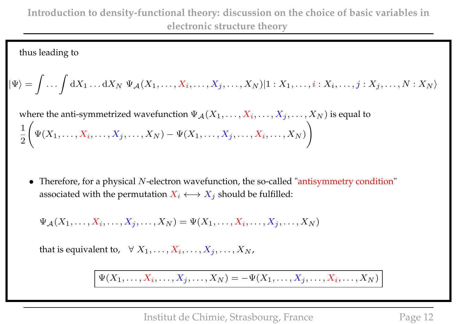thus leading to

$$
|\Psi\rangle = \int \dots \int dX_1 \dots dX_N \, \Psi_{\mathcal{A}}(X_1, \dots, X_i, \dots, X_j, \dots, X_N)|1 : X_1, \dots, i : X_i, \dots, j : X_j, \dots, N : X_N\rangle
$$

where the anti-symmetrized wavefunction  $\Psi_{\mathcal{A}}(X_1,\ldots,X_i,\ldots,X_j,\ldots,X_N)$  is equal to 1 2  $\sqrt{ }$  $\Psi(X_1,\ldots,X_i,\ldots,X_j,\ldots,X_N)-\Psi(X_1,\ldots,X_j,\ldots,X_i,\ldots,X_N)$  $\setminus$ 

• Therefore, for a physical N-electron wavefunction, the so-called "antisymmetry condition" associated with the permutation  $X_i \longleftrightarrow X_j$  should be fulfilled:

 $\Psi_{\mathcal{A}}(X_1,\ldots,X_i,\ldots,X_j,\ldots,X_N) = \Psi(X_1,\ldots,X_i,\ldots,X_j,\ldots,X_N)$ 

that is equivalent to,  $\forall X_1, \ldots, X_i, \ldots, X_j, \ldots, X_N$ ,

 $\Psi(X_1, \ldots, X_i, \ldots, X_j, \ldots, X_N) = -\Psi(X_1, \ldots, X_j, \ldots, X_i, \ldots, X_N)$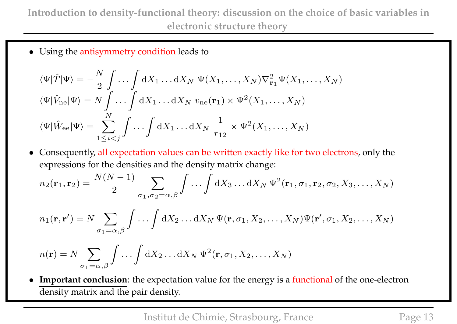**Introduction to density-functional theory: discussion on the choice of basic variables in electronic structure theory**

• Using the antisymmetry condition leads to

$$
\langle \Psi | \hat{T} | \Psi \rangle = -\frac{N}{2} \int \dots \int dX_1 \dots dX_N \ \Psi(X_1, \dots, X_N) \nabla_{\mathbf{r}_1}^2 \Psi(X_1, \dots, X_N)
$$
  

$$
\langle \Psi | \hat{V}_{ne} | \Psi \rangle = N \int \dots \int dX_1 \dots dX_N \ v_{ne}(\mathbf{r}_1) \times \Psi^2(X_1, \dots, X_N)
$$
  

$$
\langle \Psi | \hat{W}_{ee} | \Psi \rangle = \sum_{1 \leq i < j}^N \int \dots \int dX_1 \dots dX_N \ \frac{1}{r_{12}} \times \Psi^2(X_1, \dots, X_N)
$$

• Consequently, all expectation values can be written exactly like for two electrons, only the expressions for the densities and the density matrix change:

$$
n_2(\mathbf{r}_1, \mathbf{r}_2) = \frac{N(N-1)}{2} \sum_{\sigma_1, \sigma_2 = \alpha, \beta} \int \dots \int dX_3 \dots dX_N \, \Psi^2(\mathbf{r}_1, \sigma_1, \mathbf{r}_2, \sigma_2, X_3, \dots, X_N)
$$

$$
n_1(\mathbf{r}, \mathbf{r}') = N \sum_{\sigma_1 = \alpha, \beta} \int \ldots \int dX_2 \ldots dX_N \, \Psi(\mathbf{r}, \sigma_1, X_2, \ldots, X_N) \Psi(\mathbf{r}', \sigma_1, X_2, \ldots, X_N)
$$

$$
n(\mathbf{r}) = N \sum_{\sigma_1 = \alpha, \beta} \int \dots \int dX_2 \dots dX_N \, \Psi^2(\mathbf{r}, \sigma_1, X_2, \dots, X_N)
$$

• **Important conclusion**: the expectation value for the energy is a functional of the one-electron density matrix and the pair density.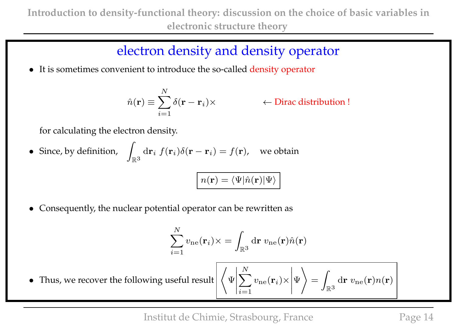### electron density and density operator

• It is sometimes convenient to introduce the so-called density operator

$$
\hat{n}(\mathbf{r}) \equiv \sum_{i=1}^{N} \delta(\mathbf{r} - \mathbf{r}_i) \times
$$

)× ← Dirac distribution !

for calculating the electron density.

• Since, by definition,  $\overline{\phantom{a}}$  $\mathbb{R}^3$  $\mathrm{d} \mathbf{r}_i \; f(\mathbf{r}_i) \delta(\mathbf{r} - \mathbf{r}_i) = f(\mathbf{r})$ , we obtain

$$
\boxed{n(\mathbf{r}) = \langle \Psi | \hat{n}(\mathbf{r}) | \Psi \rangle}
$$

• Consequently, the nuclear potential operator can be rewritten as

$$
\sum_{i=1}^{N} v_{\text{ne}}(\mathbf{r}_i) \times = \int_{\mathbb{R}^3} d\mathbf{r} \ v_{\text{ne}}(\mathbf{r}) \hat{n}(\mathbf{r})
$$

 $\bullet$  Thus, we recover the following useful result Ψ  $\overline{\phantom{a}}$  $\overline{\phantom{a}}$  $\sum$  $v_{\mathrm{ne}}(\mathbf{r}_i$  $) \times$  $\overline{\phantom{a}}$  $\overline{\phantom{a}}$ Ψ =

$$
\text{lt}\left\langle \Psi \middle| \sum_{i=1}^{N} v_{\text{ne}}(\mathbf{r}_i) \times \middle| \Psi \right\rangle = \int_{\mathbb{R}^3} d\mathbf{r} \ v_{\text{ne}}(\mathbf{r}) n(\mathbf{r})
$$

Institut de Chimie, Strasbourg, France Page 14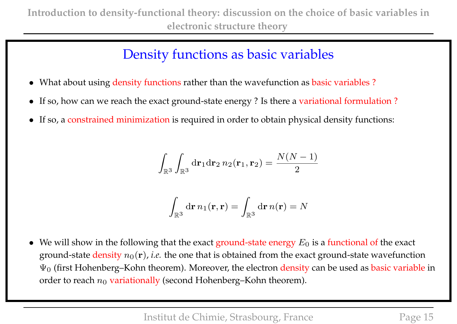# Density functions as basic variables

- What about using density functions rather than the wavefunction as basic variables?
- If so, how can we reach the exact ground-state energy ? Is there a variational formulation ?
- If so, a constrained minimization is required in order to obtain physical density functions:

$$
\int_{\mathbb{R}^3} \int_{\mathbb{R}^3} d\mathbf{r}_1 d\mathbf{r}_2 n_2(\mathbf{r}_1, \mathbf{r}_2) = \frac{N(N-1)}{2}
$$

$$
\int_{\mathbb{R}^3} d\mathbf{r} \, n_1(\mathbf{r}, \mathbf{r}) = \int_{\mathbb{R}^3} d\mathbf{r} \, n(\mathbf{r}) = N
$$

• We will show in the following that the exact ground-state energy  $E_0$  is a functional of the exact ground-state density  $n_0(\mathbf{r})$ , *i.e.* the one that is obtained from the exact ground-state wavefunction  $\Psi_0$  (first Hohenberg–Kohn theorem). Moreover, the electron density can be used as basic variable in order to reach  $n_0$  variationally (second Hohenberg–Kohn theorem).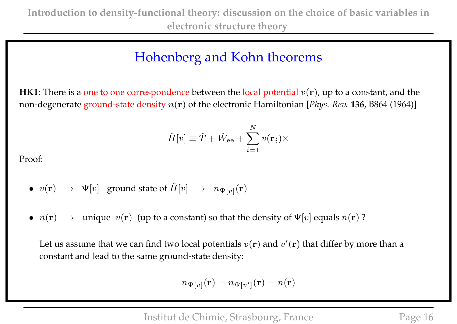**HK1**: There is a one to one correspondence between the local potential  $v(\mathbf{r})$ , up to a constant, and the non-degenerate ground-state density n(r) of the electronic Hamiltonian [*Phys. Rev.* **136**, B864 (1964)]

$$
\hat{H}[v] \equiv \hat{T} + \hat{W}_{\text{ee}} + \sum_{i=1}^{N} v(\mathbf{r}_i) \times
$$

Proof:

• 
$$
v(\mathbf{r}) \rightarrow \Psi[v]
$$
 ground state of  $\hat{H}[v] \rightarrow n_{\Psi[v]}(\mathbf{r})$ 

•  $n(\mathbf{r}) \rightarrow$  unique  $v(\mathbf{r})$  (up to a constant) so that the density of  $\Psi[v]$  equals  $n(\mathbf{r})$ ?

Let us assume that we can find two local potentials  $v(\mathbf{r})$  and  $v'(\mathbf{r})$  that differ by more than a constant and lead to the same ground-state density:

$$
n_{\Psi[v]}(\mathbf{r}) = n_{\Psi[v']}(\mathbf{r}) = n(\mathbf{r})
$$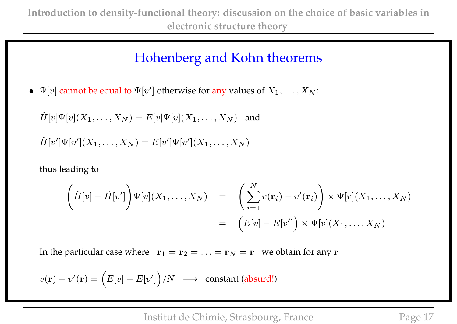$\bullet \ \ \Psi[v]$  cannot be equal to  $\Psi[v']$  otherwise for any values of  $X_1,\ldots,X_N$ :

$$
\hat{H}[v]\Psi[v](X_1,\ldots,X_N) = E[v]\Psi[v](X_1,\ldots,X_N)
$$
 and  
\n $\hat{H}[v']\Psi[v'](X_1,\ldots,X_N) = E[v']\Psi[v'](X_1,\ldots,X_N)$ 

thus leading to

$$
\left(\hat{H}[v] - \hat{H}[v']\right) \Psi[v](X_1, \dots, X_N) = \left(\sum_{i=1}^N v(\mathbf{r}_i) - v'(\mathbf{r}_i)\right) \times \Psi[v](X_1, \dots, X_N)
$$

$$
= \left(E[v] - E[v']\right) \times \Psi[v](X_1, \dots, X_N)
$$

In the particular case where  $\mathbf{r}_1 = \mathbf{r}_2 = \ldots = \mathbf{r}_N = \mathbf{r}$  we obtain for any  $\mathbf{r}$ 

$$
v(\mathbf{r}) - v'(\mathbf{r}) = (E[v] - E[v'])/N \longrightarrow \text{ constant (absurd!)}
$$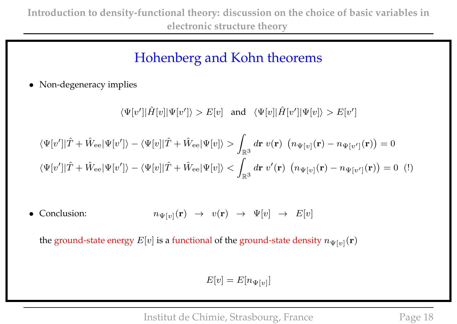• Non-degeneracy implies

 $\langle \Psi[v']|\hat{H}[v]|\Psi[v']\rangle > E[v]$  and  $\langle \Psi[v]|\hat{H}[v']|\Psi[v]\rangle > E[v']$ 

$$
\langle\Psi[v']|\hat{T} + \hat{W}_{ee}|\Psi[v']\rangle - \langle\Psi[v]|\hat{T} + \hat{W}_{ee}|\Psi[v]\rangle > \int_{\mathbb{R}^3} d\mathbf{r} \ v(\mathbf{r}) \ (n_{\Psi[v]}(\mathbf{r}) - n_{\Psi[v']}(\mathbf{r})) = 0
$$
  

$$
\langle\Psi[v']|\hat{T} + \hat{W}_{ee}|\Psi[v']\rangle - \langle\Psi[v]|\hat{T} + \hat{W}_{ee}|\Psi[v]\rangle < \int_{\mathbb{R}^3} d\mathbf{r} \ v'(\mathbf{r}) \ (n_{\Psi[v]}(\mathbf{r}) - n_{\Psi[v']}(\mathbf{r})) = 0 \ \ (!)
$$

• Conclusion:  $n_{\Psi[v]}(\mathbf{r}) \rightarrow v(\mathbf{r}) \rightarrow \Psi[v] \rightarrow E[v]$ 

the ground-state energy  $E[v]$  is a functional of the ground-state density  $n_{\Psi[v]}(\mathbf{r})$ 

$$
E[v] = E[n_{\Psi[v]}]
$$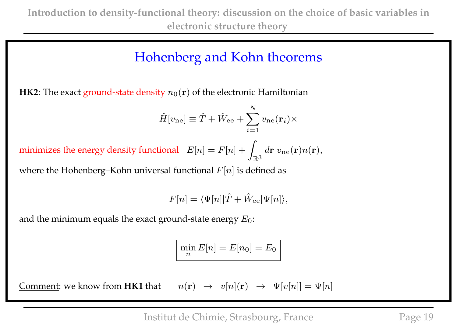**HK2**: The exact ground-state density  $n_0(\mathbf{r})$  of the electronic Hamiltonian

$$
\hat{H}[v_{\text{ne}}] \equiv \hat{T} + \hat{W}_{\text{ee}} + \sum_{i=1}^{N} v_{\text{ne}}(\mathbf{r}_i) \times
$$

minimizes the energy density functional  $E[n] = F[n] + \frac{1}{2}$  $\mathbb{R}^3$  $d{\bf r} \; v_{\rm ne}({\bf r})n({\bf r}),$ 

where the Hohenberg–Kohn universal functional  $F[n]$  is defined as

$$
F[n] = \langle \Psi[n] | \hat{T} + \hat{W}_{\text{ee}} | \Psi[n] \rangle,
$$

and the minimum equals the exact ground-state energy  $E_0$ :

$$
\min_n E[n] = E[n_0] = E_0
$$

Comment: we know from  $HK1$  that  $n$ 

$$
(\mathbf{r}) \rightarrow v[n](\mathbf{r}) \rightarrow \Psi[v[n]] = \Psi[n]
$$